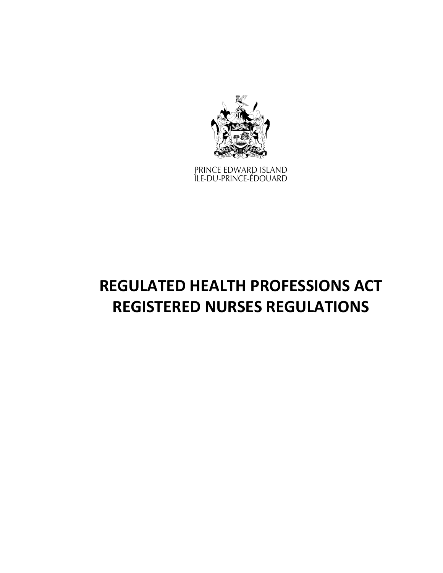

PRINCE EDWARD ISLAND<br>ÎLE-DU-PRINCE-ÉDOUARD

# **REGULATED HEALTH PROFESSIONS ACT REGISTERED NURSES REGULATIONS**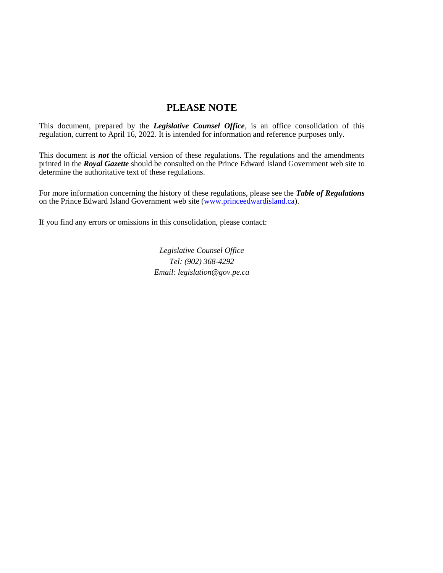# **PLEASE NOTE**

This document, prepared by the *[Legislative Counsel Office](http://www.gov.pe.ca/jps/index.php3?number=1027247)*, is an office consolidation of this regulation, current to April 16, 2022. It is intended for information and reference purposes only.

This document is *not* the official version of these regulations. The regulations and the amendments printed in the *Royal Gazette* should be consulted on the Prince Edward Island Government web site to determine the authoritative text of these regulations.

For more information concerning the history of these regulations, please see the *[Table of Regulations](https://www.princeedwardisland.ca/sites/default/files/publications/leg_table_acts.pdf)* on the Prince Edward Island Government web site [\(www.princeedwardisland.ca\)](http://www.princeedwardisland.ca/).

If you find any errors or omissions in this consolidation, please contact:

*Legislative Counsel Office Tel: (902) 368-4292 Email: legislation@gov.pe.ca*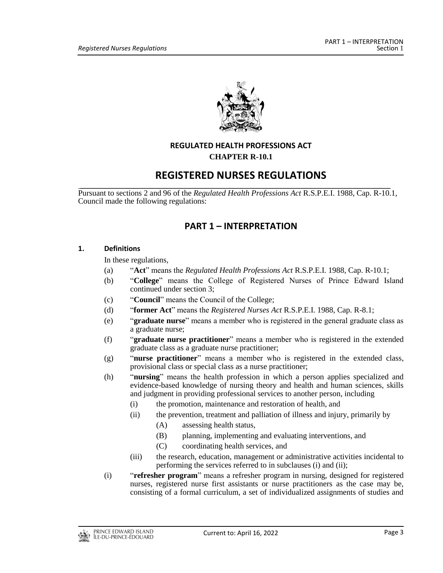

# **REGULATED HEALTH PROFESSIONS ACT CHAPTER R-10.1**

# **REGISTERED NURSES REGULATIONS**

\_\_\_\_\_\_\_\_\_\_\_\_\_\_\_\_\_\_\_\_\_\_\_\_\_\_\_\_\_\_\_\_\_\_\_\_\_\_\_\_\_\_\_\_\_\_\_\_\_\_\_\_\_\_\_\_\_\_\_\_\_\_\_\_\_\_\_\_\_\_\_\_\_\_\_\_\_\_\_\_\_\_\_\_\_ Pursuant to sections 2 and 96 of the *Regulated Health Professions Act* R.S.P.E.I. 1988, Cap. R-10.1, Council made the following regulations:

# **PART 1 – INTERPRETATION**

## **1. Definitions**

In these regulations,

- (a) "**Act**" means the *Regulated Health Professions Act* R.S.P.E.I. 1988, Cap. R-10.1;
- (b) "**College**" means the College of Registered Nurses of Prince Edward Island continued under section 3;
- (c) "**Council**" means the Council of the College;
- (d) "**former Act**" means the *Registered Nurses Act* R.S.P.E.I. 1988, Cap. R-8.1;
- (e) "**graduate nurse**" means a member who is registered in the general graduate class as a graduate nurse;
- (f) "**graduate nurse practitioner**" means a member who is registered in the extended graduate class as a graduate nurse practitioner;
- (g) "**nurse practitioner**" means a member who is registered in the extended class, provisional class or special class as a nurse practitioner;
- (h) "**nursing**" means the health profession in which a person applies specialized and evidence-based knowledge of nursing theory and health and human sciences, skills and judgment in providing professional services to another person, including
	- (i) the promotion, maintenance and restoration of health, and
	- (ii) the prevention, treatment and palliation of illness and injury, primarily by
		- (A) assessing health status,
		- (B) planning, implementing and evaluating interventions, and
		- (C) coordinating health services, and
	- (iii) the research, education, management or administrative activities incidental to performing the services referred to in subclauses (i) and (ii);
- (i) "**refresher program**" means a refresher program in nursing, designed for registered nurses, registered nurse first assistants or nurse practitioners as the case may be, consisting of a formal curriculum, a set of individualized assignments of studies and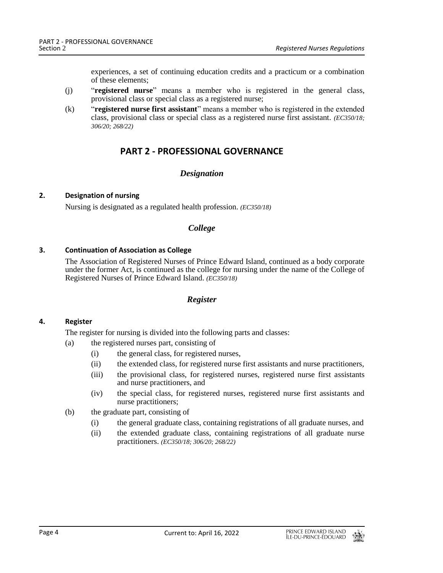experiences, a set of continuing education credits and a practicum or a combination of these elements;

- (j) "**registered nurse**" means a member who is registered in the general class, provisional class or special class as a registered nurse;
- (k) "**registered nurse first assistant**" means a member who is registered in the extended class, provisional class or special class as a registered nurse first assistant. *(EC350/18; 306/20; 268/22)*

# **PART 2 - PROFESSIONAL GOVERNANCE**

## *Designation*

## **2. Designation of nursing**

Nursing is designated as a regulated health profession. *(EC350/18)*

### *College*

#### **3. Continuation of Association as College**

The Association of Registered Nurses of Prince Edward Island, continued as a body corporate under the former Act, is continued as the college for nursing under the name of the College of Registered Nurses of Prince Edward Island. *(EC350/18)*

### *Register*

### **4. Register**

The register for nursing is divided into the following parts and classes:

- (a) the registered nurses part, consisting of
	- (i) the general class, for registered nurses,
	- (ii) the extended class, for registered nurse first assistants and nurse practitioners,
	- (iii) the provisional class, for registered nurses, registered nurse first assistants and nurse practitioners, and
	- (iv) the special class, for registered nurses, registered nurse first assistants and nurse practitioners;
- (b) the graduate part, consisting of
	- (i) the general graduate class, containing registrations of all graduate nurses, and
	- (ii) the extended graduate class, containing registrations of all graduate nurse practitioners. *(EC350/18; 306/20; 268/22)*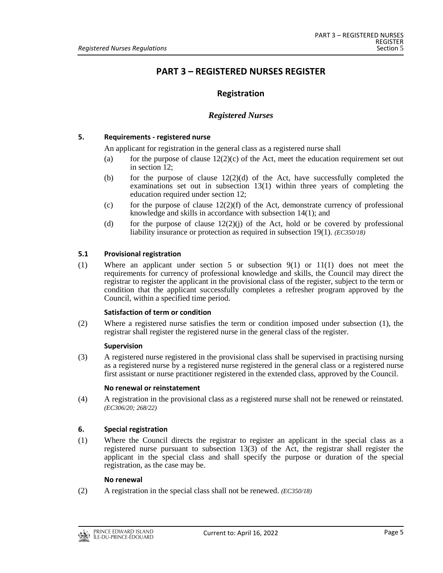# **PART 3 – REGISTERED NURSES REGISTER**

# **Registration**

# *Registered Nurses*

#### **5. Requirements - registered nurse**

An applicant for registration in the general class as a registered nurse shall

- (a) for the purpose of clause  $12(2)(c)$  of the Act, meet the education requirement set out in section 12;
- (b) for the purpose of clause  $12(2)(d)$  of the Act, have successfully completed the examinations set out in subsection 13(1) within three years of completing the education required under section 12;
- (c) for the purpose of clause  $12(2)(f)$  of the Act, demonstrate currency of professional knowledge and skills in accordance with subsection 14(1); and
- (d) for the purpose of clause  $12(2)(i)$  of the Act, hold or be covered by professional liability insurance or protection as required in subsection 19(1). *(EC350/18)*

#### **5.1 Provisional registration**

(1) Where an applicant under section 5 or subsection 9(1) or 11(1) does not meet the requirements for currency of professional knowledge and skills, the Council may direct the registrar to register the applicant in the provisional class of the register, subject to the term or condition that the applicant successfully completes a refresher program approved by the Council, within a specified time period.

#### **Satisfaction of term or condition**

(2) Where a registered nurse satisfies the term or condition imposed under subsection (1), the registrar shall register the registered nurse in the general class of the register.

#### **Supervision**

(3) A registered nurse registered in the provisional class shall be supervised in practising nursing as a registered nurse by a registered nurse registered in the general class or a registered nurse first assistant or nurse practitioner registered in the extended class, approved by the Council.

#### **No renewal or reinstatement**

(4) A registration in the provisional class as a registered nurse shall not be renewed or reinstated. *(EC306/20; 268/22)*

### **6. Special registration**

(1) Where the Council directs the registrar to register an applicant in the special class as a registered nurse pursuant to subsection  $13(3)$  of the Act, the registrar shall register the applicant in the special class and shall specify the purpose or duration of the special registration, as the case may be.

#### **No renewal**

(2) A registration in the special class shall not be renewed. *(EC350/18)*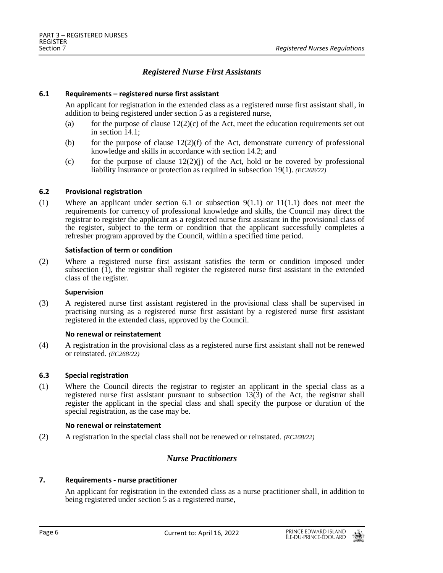# *Registered Nurse First Assistants*

#### **6.1 Requirements – registered nurse first assistant**

An applicant for registration in the extended class as a registered nurse first assistant shall, in addition to being registered under section 5 as a registered nurse,

- (a) for the purpose of clause  $12(2)(c)$  of the Act, meet the education requirements set out in section  $\overline{14.1}$ ;
- (b) for the purpose of clause  $12(2)(f)$  of the Act, demonstrate currency of professional knowledge and skills in accordance with section 14.2; and
- (c) for the purpose of clause  $12(2)(j)$  of the Act, hold or be covered by professional liability insurance or protection as required in subsection 19(1). *(EC268/22)*

#### **6.2 Provisional registration**

(1) Where an applicant under section 6.1 or subsection 9(1.1) or 11(1.1) does not meet the requirements for currency of professional knowledge and skills, the Council may direct the registrar to register the applicant as a registered nurse first assistant in the provisional class of the register, subject to the term or condition that the applicant successfully completes a refresher program approved by the Council, within a specified time period.

#### **Satisfaction of term or condition**

(2) Where a registered nurse first assistant satisfies the term or condition imposed under subsection (1), the registrar shall register the registered nurse first assistant in the extended class of the register.

#### **Supervision**

(3) A registered nurse first assistant registered in the provisional class shall be supervised in practising nursing as a registered nurse first assistant by a registered nurse first assistant registered in the extended class, approved by the Council.

#### **No renewal or reinstatement**

(4) A registration in the provisional class as a registered nurse first assistant shall not be renewed or reinstated. *(EC268/22)*

#### **6.3 Special registration**

(1) Where the Council directs the registrar to register an applicant in the special class as a registered nurse first assistant pursuant to subsection  $13(3)$  of the Act, the registrar shall register the applicant in the special class and shall specify the purpose or duration of the special registration, as the case may be.

#### **No renewal or reinstatement**

(2) A registration in the special class shall not be renewed or reinstated. *(EC268/22)*

### *Nurse Practitioners*

#### **7. Requirements - nurse practitioner**

An applicant for registration in the extended class as a nurse practitioner shall, in addition to being registered under section 5 as a registered nurse,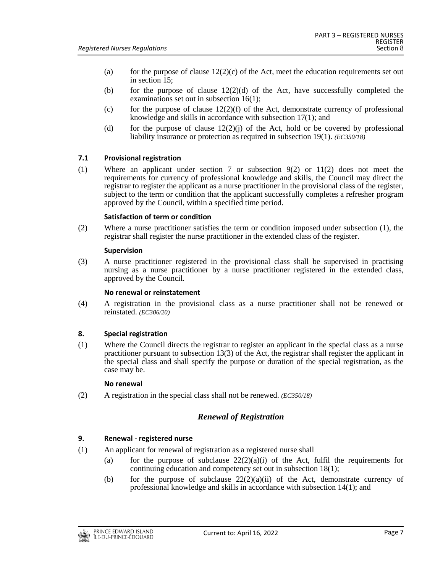- (a) for the purpose of clause  $12(2)(c)$  of the Act, meet the education requirements set out in section 15;
- (b) for the purpose of clause  $12(2)(d)$  of the Act, have successfully completed the examinations set out in subsection 16(1);
- (c) for the purpose of clause  $12(2)(f)$  of the Act, demonstrate currency of professional knowledge and skills in accordance with subsection 17(1); and
- (d) for the purpose of clause  $12(2)(i)$  of the Act, hold or be covered by professional liability insurance or protection as required in subsection 19(1). *(EC350/18)*

### **7.1 Provisional registration**

(1) Where an applicant under section 7 or subsection 9(2) or 11(2) does not meet the requirements for currency of professional knowledge and skills, the Council may direct the registrar to register the applicant as a nurse practitioner in the provisional class of the register, subject to the term or condition that the applicant successfully completes a refresher program approved by the Council, within a specified time period.

#### **Satisfaction of term or condition**

(2) Where a nurse practitioner satisfies the term or condition imposed under subsection (1), the registrar shall register the nurse practitioner in the extended class of the register.

#### **Supervision**

(3) A nurse practitioner registered in the provisional class shall be supervised in practising nursing as a nurse practitioner by a nurse practitioner registered in the extended class, approved by the Council.

#### **No renewal or reinstatement**

(4) A registration in the provisional class as a nurse practitioner shall not be renewed or reinstated. *(EC306/20)*

#### **8. Special registration**

(1) Where the Council directs the registrar to register an applicant in the special class as a nurse practitioner pursuant to subsection 13(3) of the Act, the registrar shall register the applicant in the special class and shall specify the purpose or duration of the special registration, as the case may be.

#### **No renewal**

(2) A registration in the special class shall not be renewed. *(EC350/18)*

# *Renewal of Registration*

#### **9. Renewal - registered nurse**

- (1) An applicant for renewal of registration as a registered nurse shall
	- (a) for the purpose of subclause  $22(2)(a)(i)$  of the Act, fulfil the requirements for continuing education and competency set out in subsection 18(1);
	- (b) for the purpose of subclause  $22(2)(a)(ii)$  of the Act, demonstrate currency of professional knowledge and skills in accordance with subsection 14(1); and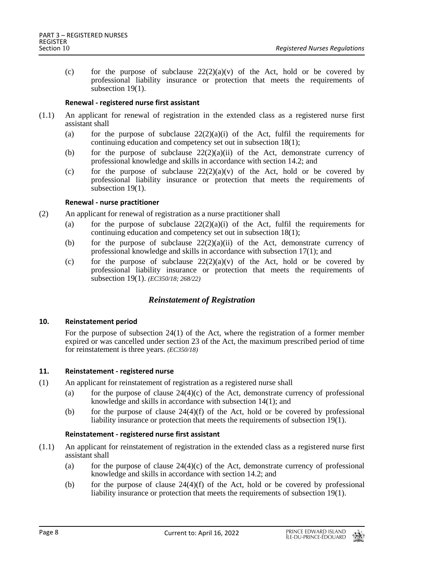(c) for the purpose of subclause  $22(2)(a)(v)$  of the Act, hold or be covered by professional liability insurance or protection that meets the requirements of subsection 19(1).

#### **Renewal - registered nurse first assistant**

- (1.1) An applicant for renewal of registration in the extended class as a registered nurse first assistant shall
	- (a) for the purpose of subclause  $22(2)(a)(i)$  of the Act, fulfil the requirements for continuing education and competency set out in subsection 18(1);
	- (b) for the purpose of subclause  $22(2)(a)(ii)$  of the Act, demonstrate currency of professional knowledge and skills in accordance with section 14.2; and
	- (c) for the purpose of subclause  $22(2)(a)(v)$  of the Act, hold or be covered by professional liability insurance or protection that meets the requirements of subsection 19(1).

#### **Renewal - nurse practitioner**

- (2) An applicant for renewal of registration as a nurse practitioner shall
	- (a) for the purpose of subclause  $22(2)(a)(i)$  of the Act, fulfil the requirements for continuing education and competency set out in subsection 18(1);
	- (b) for the purpose of subclause  $22(2)(a)(ii)$  of the Act, demonstrate currency of professional knowledge and skills in accordance with subsection 17(1); and
	- (c) for the purpose of subclause  $22(2)(a)(v)$  of the Act, hold or be covered by professional liability insurance or protection that meets the requirements of subsection 19(1). *(EC350/18; 268/22)*

# *Reinstatement of Registration*

#### **10. Reinstatement period**

For the purpose of subsection 24(1) of the Act, where the registration of a former member expired or was cancelled under section 23 of the Act, the maximum prescribed period of time for reinstatement is three years. *(EC350/18)*

#### **11. Reinstatement - registered nurse**

- (1) An applicant for reinstatement of registration as a registered nurse shall
	- (a) for the purpose of clause  $24(4)(c)$  of the Act, demonstrate currency of professional knowledge and skills in accordance with subsection 14(1); and
	- (b) for the purpose of clause  $24(4)(f)$  of the Act, hold or be covered by professional liability insurance or protection that meets the requirements of subsection 19(1).

### **Reinstatement - registered nurse first assistant**

- (1.1) An applicant for reinstatement of registration in the extended class as a registered nurse first assistant shall
	- (a) for the purpose of clause  $24(4)(c)$  of the Act, demonstrate currency of professional knowledge and skills in accordance with section 14.2; and
	- (b) for the purpose of clause  $24(4)(f)$  of the Act, hold or be covered by professional liability insurance or protection that meets the requirements of subsection 19(1).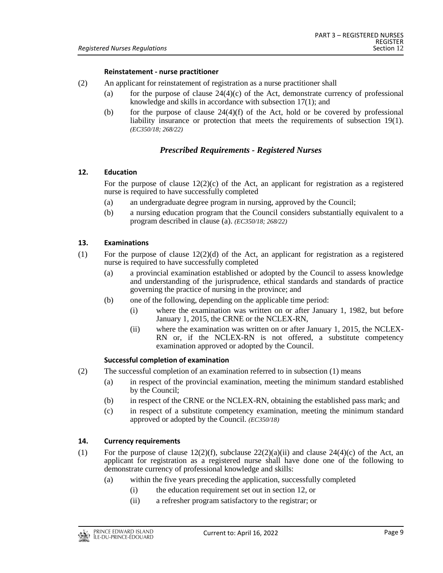#### **Reinstatement - nurse practitioner**

- (2) An applicant for reinstatement of registration as a nurse practitioner shall
	- (a) for the purpose of clause  $24(4)(c)$  of the Act, demonstrate currency of professional knowledge and skills in accordance with subsection 17(1); and
	- (b) for the purpose of clause  $24(4)(f)$  of the Act, hold or be covered by professional liability insurance or protection that meets the requirements of subsection 19(1). *(EC350/18; 268/22)*

# *Prescribed Requirements - Registered Nurses*

#### **12. Education**

For the purpose of clause  $12(2)(c)$  of the Act, an applicant for registration as a registered nurse is required to have successfully completed

- (a) an undergraduate degree program in nursing, approved by the Council;
- (b) a nursing education program that the Council considers substantially equivalent to a program described in clause (a). *(EC350/18; 268/22)*

### **13. Examinations**

- (1) For the purpose of clause  $12(2)(d)$  of the Act, an applicant for registration as a registered nurse is required to have successfully completed
	- (a) a provincial examination established or adopted by the Council to assess knowledge and understanding of the jurisprudence, ethical standards and standards of practice governing the practice of nursing in the province; and
	- (b) one of the following, depending on the applicable time period:
		- (i) where the examination was written on or after January 1, 1982, but before January 1, 2015, the CRNE or the NCLEX-RN,
		- (ii) where the examination was written on or after January 1, 2015, the NCLEX-RN or, if the NCLEX-RN is not offered, a substitute competency examination approved or adopted by the Council.

#### **Successful completion of examination**

- (2) The successful completion of an examination referred to in subsection (1) means
	- (a) in respect of the provincial examination, meeting the minimum standard established by the Council;
	- (b) in respect of the CRNE or the NCLEX-RN, obtaining the established pass mark; and
	- (c) in respect of a substitute competency examination, meeting the minimum standard approved or adopted by the Council. *(EC350/18)*

#### **14. Currency requirements**

- (1) For the purpose of clause  $12(2)(f)$ , subclause  $22(2)(a)(ii)$  and clause  $24(4)(c)$  of the Act, an applicant for registration as a registered nurse shall have done one of the following to demonstrate currency of professional knowledge and skills:
	- (a) within the five years preceding the application, successfully completed
		- (i) the education requirement set out in section 12, or
		- (ii) a refresher program satisfactory to the registrar; or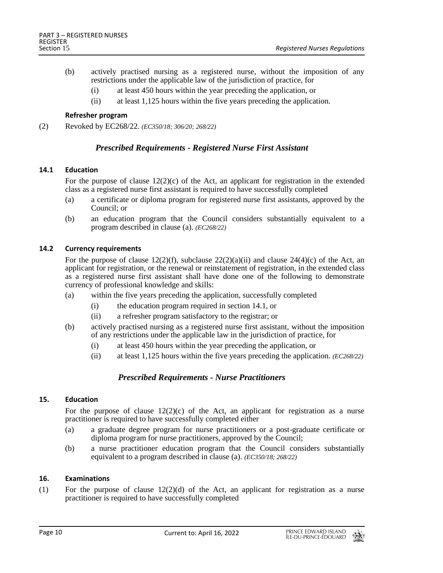- (b) actively practised nursing as a registered nurse, without the imposition of any restrictions under the applicable law of the jurisdiction of practice, for
	- (i) at least 450 hours within the year preceding the application, or
	- (ii) at least 1,125 hours within the five years preceding the application.

#### **Refresher program**

(2) Revoked by EC268/22. *(EC350/18; 306/20; 268/22)*

### *Prescribed Requirements - Registered Nurse First Assistant*

#### **14.1 Education**

For the purpose of clause  $12(2)(c)$  of the Act, an applicant for registration in the extended class as a registered nurse first assistant is required to have successfully completed

- (a) a certificate or diploma program for registered nurse first assistants, approved by the Council; or
- (b) an education program that the Council considers substantially equivalent to a program described in clause (a). *(EC268/22)*

#### **14.2 Currency requirements**

For the purpose of clause  $12(2)(f)$ , subclause  $22(2)(a)(ii)$  and clause  $24(4)(c)$  of the Act, an applicant for registration, or the renewal or reinstatement of registration, in the extended class as a registered nurse first assistant shall have done one of the following to demonstrate currency of professional knowledge and skills:

- (a) within the five years preceding the application, successfully completed
	- (i) the education program required in section 14.1, or
	- (ii) a refresher program satisfactory to the registrar; or
- (b) actively practised nursing as a registered nurse first assistant, without the imposition of any restrictions under the applicable law in the jurisdiction of practice, for
	- (i) at least 450 hours within the year preceding the application, or
	- (ii) at least 1,125 hours within the five years preceding the application. *(EC268/22)*

# *Prescribed Requirements - Nurse Practitioners*

#### **15. Education**

For the purpose of clause  $12(2)(c)$  of the Act, an applicant for registration as a nurse practitioner is required to have successfully completed either

- (a) a graduate degree program for nurse practitioners or a post-graduate certificate or diploma program for nurse practitioners, approved by the Council;
- (b) a nurse practitioner education program that the Council considers substantially equivalent to a program described in clause (a). *(EC350/18; 268/22)*

#### **16. Examinations**

(1) For the purpose of clause  $12(2)(d)$  of the Act, an applicant for registration as a nurse practitioner is required to have successfully completed

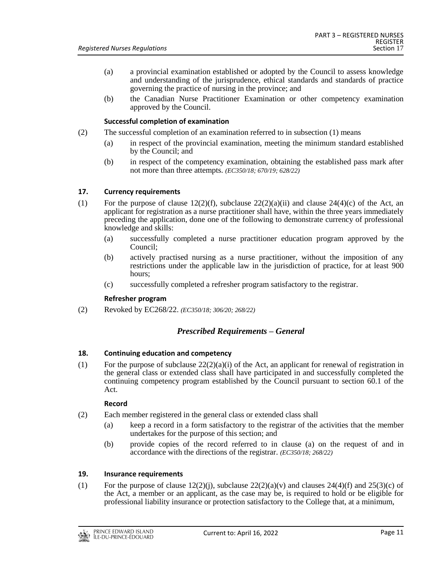- (a) a provincial examination established or adopted by the Council to assess knowledge and understanding of the jurisprudence, ethical standards and standards of practice governing the practice of nursing in the province; and
- (b) the Canadian Nurse Practitioner Examination or other competency examination approved by the Council.

#### **Successful completion of examination**

- (2) The successful completion of an examination referred to in subsection (1) means
	- (a) in respect of the provincial examination, meeting the minimum standard established by the Council; and
	- (b) in respect of the competency examination, obtaining the established pass mark after not more than three attempts. *(EC350/18; 670/19; 628/22)*

#### **17. Currency requirements**

- (1) For the purpose of clause  $12(2)(f)$ , subclause  $22(2)(a)(ii)$  and clause  $24(4)(c)$  of the Act, an applicant for registration as a nurse practitioner shall have, within the three years immediately preceding the application, done one of the following to demonstrate currency of professional knowledge and skills:
	- (a) successfully completed a nurse practitioner education program approved by the Council;
	- (b) actively practised nursing as a nurse practitioner, without the imposition of any restrictions under the applicable law in the jurisdiction of practice, for at least 900 hours;
	- (c) successfully completed a refresher program satisfactory to the registrar.

#### **Refresher program**

(2) Revoked by EC268/22. *(EC350/18; 306/20; 268/22)*

# *Prescribed Requirements – General*

#### **18. Continuing education and competency**

(1) For the purpose of subclause  $22(2)(a)(i)$  of the Act, an applicant for renewal of registration in the general class or extended class shall have participated in and successfully completed the continuing competency program established by the Council pursuant to section 60.1 of the Act.

#### **Record**

- (2) Each member registered in the general class or extended class shall
	- (a) keep a record in a form satisfactory to the registrar of the activities that the member undertakes for the purpose of this section; and
	- (b) provide copies of the record referred to in clause (a) on the request of and in accordance with the directions of the registrar. *(EC350/18; 268/22)*

### **19. Insurance requirements**

(1) For the purpose of clause  $12(2)(j)$ , subclause  $22(2)(a)(v)$  and clauses  $24(4)(f)$  and  $25(3)(c)$  of the Act, a member or an applicant, as the case may be, is required to hold or be eligible for professional liability insurance or protection satisfactory to the College that, at a minimum,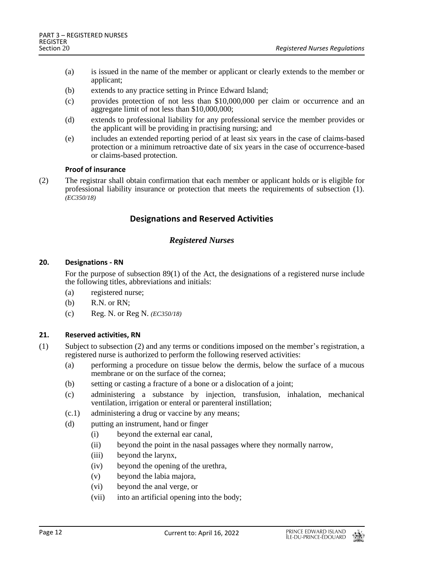- (a) is issued in the name of the member or applicant or clearly extends to the member or applicant;
- (b) extends to any practice setting in Prince Edward Island;
- (c) provides protection of not less than \$10,000,000 per claim or occurrence and an aggregate limit of not less than \$10,000,000;
- (d) extends to professional liability for any professional service the member provides or the applicant will be providing in practising nursing; and
- (e) includes an extended reporting period of at least six years in the case of claims-based protection or a minimum retroactive date of six years in the case of occurrence-based or claims-based protection.

#### **Proof of insurance**

(2) The registrar shall obtain confirmation that each member or applicant holds or is eligible for professional liability insurance or protection that meets the requirements of subsection (1). *(EC350/18)*

## **Designations and Reserved Activities**

## *Registered Nurses*

#### **20. Designations - RN**

For the purpose of subsection 89(1) of the Act, the designations of a registered nurse include the following titles, abbreviations and initials:

- (a) registered nurse;
- (b) R.N. or RN;
- (c) Reg. N. or Reg N. *(EC350/18)*

#### **21. Reserved activities, RN**

- (1) Subject to subsection (2) and any terms or conditions imposed on the member's registration, a registered nurse is authorized to perform the following reserved activities:
	- (a) performing a procedure on tissue below the dermis, below the surface of a mucous membrane or on the surface of the cornea;
	- (b) setting or casting a fracture of a bone or a dislocation of a joint;
	- (c) administering a substance by injection, transfusion, inhalation, mechanical ventilation, irrigation or enteral or parenteral instillation;
	- (c.1) administering a drug or vaccine by any means;
	- (d) putting an instrument, hand or finger
		- (i) beyond the external ear canal,
		- (ii) beyond the point in the nasal passages where they normally narrow,
		- (iii) beyond the larynx,
		- (iv) beyond the opening of the urethra,
		- (v) beyond the labia majora,
		- (vi) beyond the anal verge, or
		- (vii) into an artificial opening into the body;

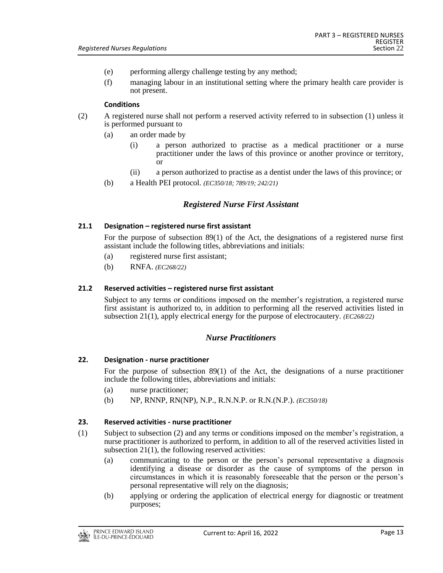- (e) performing allergy challenge testing by any method;
- (f) managing labour in an institutional setting where the primary health care provider is not present.

## **Conditions**

- (2) A registered nurse shall not perform a reserved activity referred to in subsection (1) unless it is performed pursuant to
	- (a) an order made by
		- (i) a person authorized to practise as a medical practitioner or a nurse practitioner under the laws of this province or another province or territory, or
		- (ii) a person authorized to practise as a dentist under the laws of this province; or
	- (b) a Health PEI protocol. *(EC350/18; 789/19; 242/21)*

# *Registered Nurse First Assistant*

#### **21.1 Designation – registered nurse first assistant**

For the purpose of subsection 89(1) of the Act, the designations of a registered nurse first assistant include the following titles, abbreviations and initials:

- (a) registered nurse first assistant;
- (b) RNFA. *(EC268/22)*

#### **21.2 Reserved activities – registered nurse first assistant**

Subject to any terms or conditions imposed on the member's registration, a registered nurse first assistant is authorized to, in addition to performing all the reserved activities listed in subsection 21(1), apply electrical energy for the purpose of electrocautery. *(EC268/22)*

## *Nurse Practitioners*

### **22. Designation - nurse practitioner**

For the purpose of subsection  $89(1)$  of the Act, the designations of a nurse practitioner include the following titles, abbreviations and initials:

- (a) nurse practitioner;
- (b) NP, RNNP, RN(NP), N.P., R.N.N.P. or R.N.(N.P.). *(EC350/18)*

### **23. Reserved activities - nurse practitioner**

- (1) Subject to subsection (2) and any terms or conditions imposed on the member's registration, a nurse practitioner is authorized to perform, in addition to all of the reserved activities listed in subsection 21(1), the following reserved activities:
	- (a) communicating to the person or the person's personal representative a diagnosis identifying a disease or disorder as the cause of symptoms of the person in circumstances in which it is reasonably foreseeable that the person or the person's personal representative will rely on the diagnosis;
	- (b) applying or ordering the application of electrical energy for diagnostic or treatment purposes;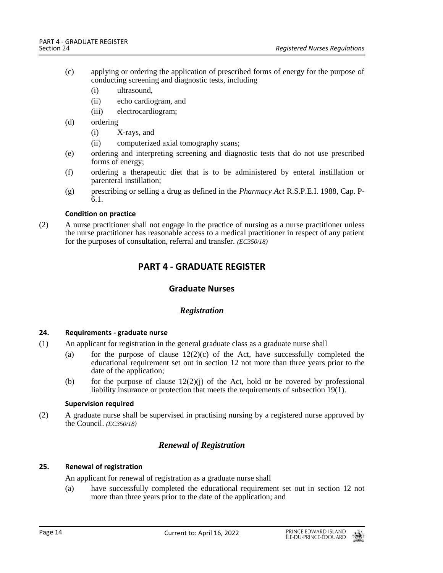- (c) applying or ordering the application of prescribed forms of energy for the purpose of conducting screening and diagnostic tests, including
	- (i) ultrasound,
	- (ii) echo cardiogram, and
	- (iii) electrocardiogram;
- (d) ordering
	- (i) X-rays, and
	- (ii) computerized axial tomography scans;
- (e) ordering and interpreting screening and diagnostic tests that do not use prescribed forms of energy;
- (f) ordering a therapeutic diet that is to be administered by enteral instillation or parenteral instillation;
- (g) prescribing or selling a drug as defined in the *Pharmacy Act* R.S.P.E.I. 1988, Cap. P-6.1.

### **Condition on practice**

(2) A nurse practitioner shall not engage in the practice of nursing as a nurse practitioner unless the nurse practitioner has reasonable access to a medical practitioner in respect of any patient for the purposes of consultation, referral and transfer. *(EC350/18)*

# **PART 4 - GRADUATE REGISTER**

# **Graduate Nurses**

# *Registration*

### **24. Requirements - graduate nurse**

- (1) An applicant for registration in the general graduate class as a graduate nurse shall
	- (a) for the purpose of clause  $12(2)(c)$  of the Act, have successfully completed the educational requirement set out in section 12 not more than three years prior to the date of the application;
	- (b) for the purpose of clause  $12(2)(i)$  of the Act, hold or be covered by professional liability insurance or protection that meets the requirements of subsection 19(1).

### **Supervision required**

(2) A graduate nurse shall be supervised in practising nursing by a registered nurse approved by the Council. *(EC350/18)*

# *Renewal of Registration*

### **25. Renewal of registration**

An applicant for renewal of registration as a graduate nurse shall

(a) have successfully completed the educational requirement set out in section 12 not more than three years prior to the date of the application; and

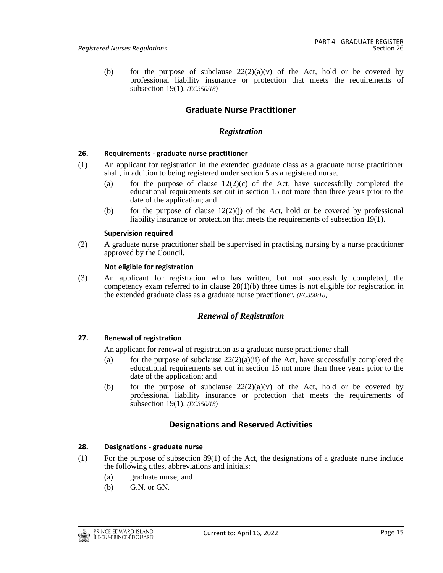(b) for the purpose of subclause  $22(2)(a)(v)$  of the Act, hold or be covered by professional liability insurance or protection that meets the requirements of subsection 19(1). *(EC350/18)*

# **Graduate Nurse Practitioner**

## *Registration*

#### **26. Requirements - graduate nurse practitioner**

- (1) An applicant for registration in the extended graduate class as a graduate nurse practitioner shall, in addition to being registered under section 5 as a registered nurse,
	- (a) for the purpose of clause  $12(2)(c)$  of the Act, have successfully completed the educational requirements set out in section 15 not more than three years prior to the date of the application; and
	- (b) for the purpose of clause  $12(2)(j)$  of the Act, hold or be covered by professional liability insurance or protection that meets the requirements of subsection 19(1).

#### **Supervision required**

(2) A graduate nurse practitioner shall be supervised in practising nursing by a nurse practitioner approved by the Council.

#### **Not eligible for registration**

(3) An applicant for registration who has written, but not successfully completed, the competency exam referred to in clause  $28(1)(b)$  three times is not eligible for registration in the extended graduate class as a graduate nurse practitioner. *(EC350/18)*

### *Renewal of Registration*

#### **27. Renewal of registration**

An applicant for renewal of registration as a graduate nurse practitioner shall

- (a) for the purpose of subclause  $22(2)(a)(ii)$  of the Act, have successfully completed the educational requirements set out in section 15 not more than three years prior to the date of the application; and
- (b) for the purpose of subclause  $22(2)(a)(v)$  of the Act, hold or be covered by professional liability insurance or protection that meets the requirements of subsection 19(1). *(EC350/18)*

# **Designations and Reserved Activities**

#### **28. Designations - graduate nurse**

- (1) For the purpose of subsection 89(1) of the Act, the designations of a graduate nurse include the following titles, abbreviations and initials:
	- (a) graduate nurse; and
	- (b) G.N. or GN.